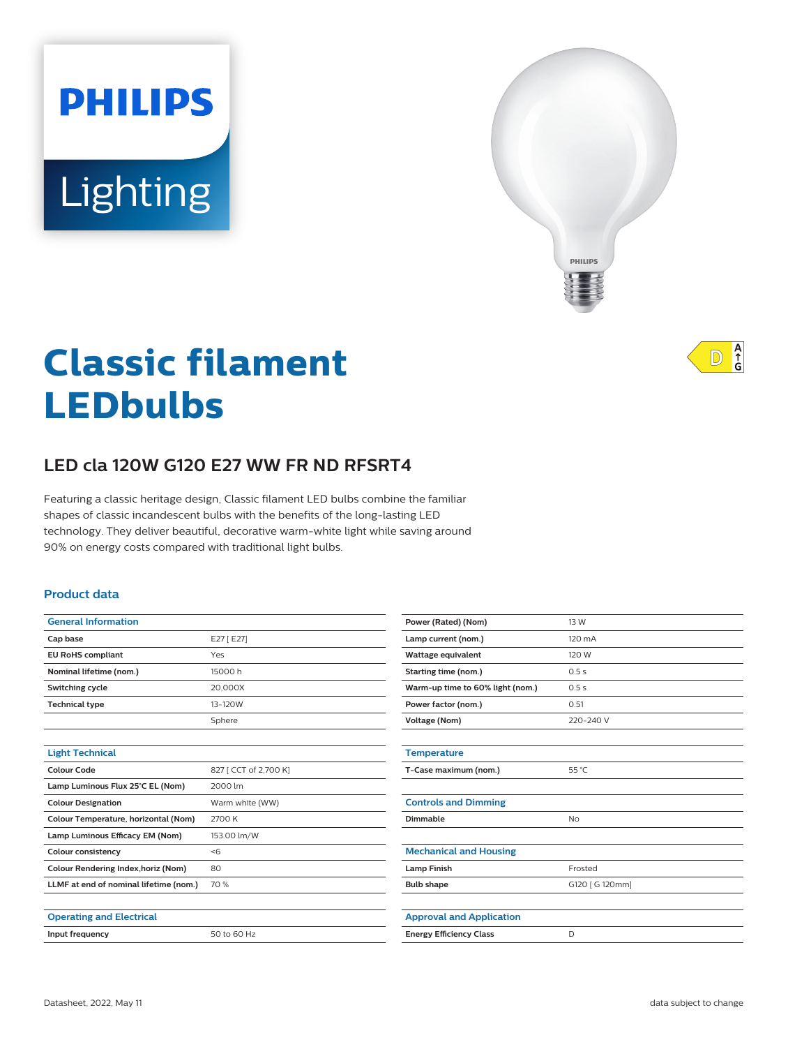# **PHILIPS Lighting**



# **Classic filament LEDbulbs**

# **LED cla 120W G120 E27 WW FR ND RFSRT4**

Featuring a classic heritage design, Classic filament LED bulbs combine the familiar shapes of classic incandescent bulbs with the benefits of the long-lasting LED technology. They deliver beautiful, decorative warm-white light while saving around 90% on energy costs compared with traditional light bulbs.

#### **Product data**

| <b>General Information</b>             |                       |
|----------------------------------------|-----------------------|
| Cap base                               | E27 [E27]             |
| <b>EU RoHS compliant</b>               | Yes                   |
| Nominal lifetime (nom.)                | 15000 h               |
| Switching cycle                        | 20,000X               |
| <b>Technical type</b>                  | 13-120W               |
|                                        | Sphere                |
|                                        |                       |
| <b>Light Technical</b>                 |                       |
| Colour Code                            | 827 [ CCT of 2,700 K] |
| Lamp Luminous Flux 25°C EL (Nom)       | 2000 lm               |
| <b>Colour Designation</b>              | Warm white (WW)       |
| Colour Temperature, horizontal (Nom)   | 2700 K                |
| Lamp Luminous Efficacy EM (Nom)        | 153.00 lm/W           |
| <b>Colour consistency</b>              | <6                    |
| Colour Rendering Index, horiz (Nom)    | 80                    |
| LLMF at end of nominal lifetime (nom.) | 70 %                  |
|                                        |                       |
| <b>Operating and Electrical</b>        |                       |
| Input frequency                        | 50 to 60 Hz           |
|                                        |                       |

| Power (Rated) (Nom)              | 13 W            |
|----------------------------------|-----------------|
| Lamp current (nom.)              | 120 mA          |
| Wattage equivalent               | 120 W           |
| <b>Starting time (nom.)</b>      | 0.5s            |
| Warm-up time to 60% light (nom.) | 0.5s            |
| Power factor (nom.)              | 0.51            |
| <b>Voltage (Nom)</b>             | 220-240 V       |
|                                  |                 |
| <b>Temperature</b>               |                 |
| T-Case maximum (nom.)            | 55 °C           |
|                                  |                 |
| <b>Controls and Dimming</b>      |                 |
| Dimmable                         | <b>No</b>       |
|                                  |                 |
| <b>Mechanical and Housing</b>    |                 |
| <b>Lamp Finish</b>               | Frosted         |
| <b>Bulb shape</b>                | G120 [ G 120mm] |
|                                  |                 |
| <b>Approval and Application</b>  |                 |
| <b>Energy Efficiency Class</b>   | D               |
|                                  |                 |

A<br>
G  $\mathbb{D}$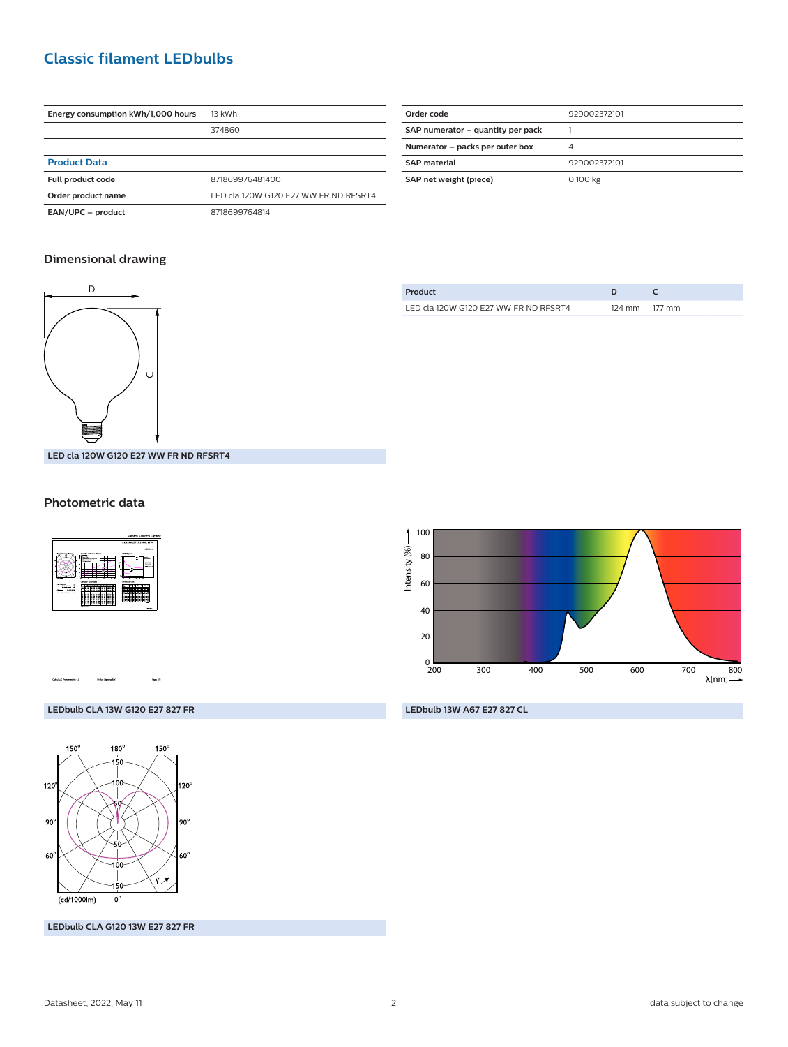## **Classic filament LEDbulbs**

| Energy consumption kWh/1,000 hours | 13 kWh                                |
|------------------------------------|---------------------------------------|
|                                    | 374860                                |
|                                    |                                       |
| <b>Product Data</b>                |                                       |
| <b>Full product code</b>           | 871869976481400                       |
| Order product name                 | LED cla 120W G120 E27 WW FR ND RESRT4 |
| EAN/UPC - product                  | 8718699764814                         |

| Order code                        | 929002372101 |
|-----------------------------------|--------------|
| SAP numerator - quantity per pack |              |
| Numerator - packs per outer box   | 4            |
| <b>SAP</b> material               | 929002372101 |
| SAP net weight (piece)            | 0.100 kg     |
|                                   |              |

#### **Dimensional drawing**



**Product D C** LED cla 120W G120 E27 WW FR ND RFSRT4 124 mm 177 mm

**LED cla 120W G120 E27 WW FR ND RFSRT4**

#### **Photometric data**





**LEDbulb 13W A67 E27 827 CL**

#### **LEDbulb CLA 13W G120 E27 827 FR**



**LEDbulb CLA G120 13W E27 827 FR**